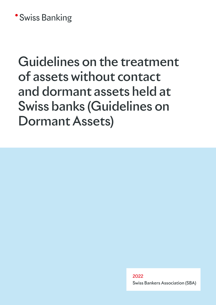## **\*Swiss Banking**

# Guidelines on the treatment of assets without contact and dormant assets held at Swiss banks (Guidelines on Dormant Assets)

2022 Swiss Bankers Association (SBA)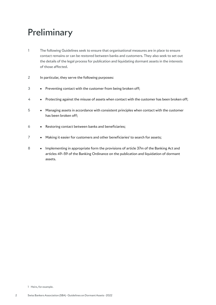## **Preliminary**

- 1 The following Guidelines seek to ensure that organisational measures are in place to ensure contact remains or can be restored between banks and customers. They also seek to set out the details of the legal process for publication and liquidating dormant assets in the interests of those affected.
- 2 In particular, they serve the following purposes:
- 3 Preventing contact with the customer from being broken off;
- 4 Protecting against the misuse of assets when contact with the customer has been broken off;
- 5 Managing assets in accordance with consistent principles when contact with the customer has been broken off;
- 6 Restoring contact between banks and beneficiaries;
- $7 \longrightarrow M$ aking it easier for customers and other beneficiaries' to search for assets;
- 8 Implementing in appropriate form the provisions of article 37m of the Banking Act and articles 49–59 of the Banking Ordinance on the publication and liquidation of dormant assets.

<sup>1</sup> Heirs, for example.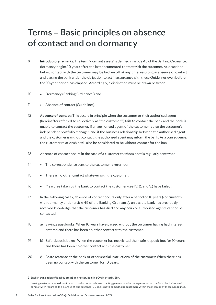## Terms – Basic principles on absence of contact and on dormancy

- 9 **Introductory remarks:** The term "dormant assets" is defined in article 45 of the Banking Ordinance; dormancy begins 10 years after the last documented contact with the customer. As described below, contact with the customer may be broken off at any time, resulting in absence of contact and placing the bank under the obligation to act in accordance with these Guidelines even before the 10-year period has elapsed. Accordingly, a distinction must be drawn between
- 10 Dormancy (Banking Ordinance<sup>2</sup>) and
- 11 Absence of contact (Guidelines).
- 12 **Absence of contact:** This occurs in principle when the customer or their authorised agent (hereinafter referred to collectively as "the customer"3) fails to contact the bank and the bank is unable to contact the customer. If an authorised agent of the customer is also the customer's independent portfolio manager, and if the business relationship between the authorised agent and the customer is without contact, the authorised agent may inform the bank. As a consequence, the customer relationship will also be considered to be without contact for the bank.
- 13 Absence of contact occurs in the case of a customer to whom post is regularly sent when:
- 14 The correspondence sent to the customer is returned;
- 15 There is no other contact whatever with the customer;
- 16 Measures taken by the bank to contact the customer (see IV. 2. and 3.) have failed.
- 17 In the following cases, absence of contact occurs only after a period of 10 years (concurrently with dormancy under article 45 of the Banking Ordinance), unless the bank has previously received knowledge that the customer has died and any heirs or authorised agents cannot be contacted:
- 18 a) Savings passbooks: When 10 years have passed without the customer having had interest entered and there has been no other contact with the customer.
- 19 b) Safe-deposit boxes: When the customer has not visited their safe-deposit box for 10 years, and there has been no other contact with the customer.
- 20 c) Poste restante at the bank or other special instructions of the customer: When there has been no contact with the customer for 10 years.

3 Passing customers, who do not have to be documented as contracting partners under the Agreement on the Swiss banks' code of conduct with regard to the exercise of due diligence (CDB), are not deemed to be customers within the meaning of these Guidelines.

<sup>2</sup> English translation of legal quotes (Banking Act, Banking Ordinance) by SBA.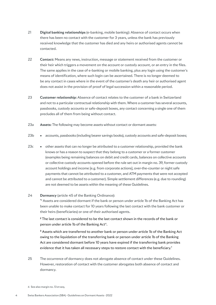- 21 **Digital banking relationships** (e-banking, mobile banking): Absence of contact occurs when there has been no contact with the customer for 3 years, unless the bank has previously received knowledge that the customer has died and any heirs or authorised agents cannot be contacted.
- 22 **Contact:** Means any news, instruction, message or statement received from the customer or their heir which triggers a movement on the account or custody account, or an entry in the files. The same applies in the case of e-banking or mobile banking, plus any login using the customer's means of identification, where such login can be ascertained. There is no longer deemed to be any contact in cases where in the event of the customer's death any heir or authorised agent does not assist in the provision of proof of legal succession within a reasonable period.
- 23 **Customer relationship:** Absence of contact relates to the customer of a bank in Switzerland and not to a particular contractual relationship with them. Where a customer has several accounts, passbooks, custody accounts or safe-deposit boxes, any contact concerning a single one of them precludes all of them from being without contact.
- 23a **Assets:** The following may become assets without contact or dormant assets:
- 23b accounts, passbooks (including bearer savings books), custody accounts and safe-deposit boxes;
- 23c other assets that can no longer be attributed to a customer relationship, provided the bank knows or has a reason to suspect that they belong to a customer or a former customer (examples being remaining balances on debit and credit cards, balances on collective accounts or collective custody accounts opened before the rule set out in margin no. 39, former custody account holdings and income [e.g. from corporate actions], over-the-counter or night safe payments that cannot be attributed to a customer, and ATM payments that were not accepted and cannot be attributed to a customer). Simple settlement differences (e.g. due to rounding) are not deemed to be assets within the meaning of these Guidelines.

#### 24 **Dormancy** (article 45 of the Banking Ordinance):

"**<sup>1</sup>** Assets are considered dormant if the bank or person under article 1b of the Banking Act has been unable to make contact for 10 years following the last contact with the bank customer or their heirs (beneficiaries) or one of their authorised agents.

**<sup>2</sup>** The last contact is considered to be the last contact shown in the records of the bank or person under article 1b of the Banking Act<sup>4</sup>.

**<sup>3</sup>** Assets which are transferred to another bank or person under article 1b of the Banking Act owing to the liquidation of the transferring bank or person under article 1b of the Banking Act are considered dormant before 10 years have expired if the transferring bank provides evidence that it has taken all necessary steps to restore contact with the beneficiary."

- 25 The occurrence of dormancy does not abrogate absence of contact under these Guidelines. However, restoration of contact with the customer abrogates both absence of contact and dormancy.
- 4 See also margin no. 13 et seq.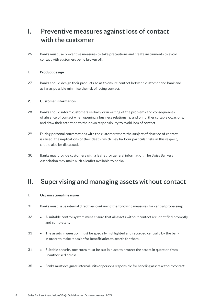## I. Preventive measures against loss of contact with the customer

26 Banks must use preventive measures to take precautions and create instruments to avoid contact with customers being broken off.

#### **1. Product design**

27 Banks should design their products so as to ensure contact between customer and bank and as far as possible minimise the risk of losing contact.

#### **2. Customer information**

- 28 Banks should inform customers verbally or in writing of the problems and consequences of absence of contact when opening a business relationship and on further suitable occasions, and draw their attention to their own responsibility to avoid loss of contact.
- 29 During personal conversations with the customer where the subject of absence of contact is raised, the implications of their death, which may harbour particular risks in this respect, should also be discussed.
- 30 Banks may provide customers with a leaflet for general information. The Swiss Bankers Association may make such a leaflet available to banks.

### II. Supervising and managing assets without contact

#### **1. Organisational measures**

- 31 Banks must issue internal directives containing the following measures for central processing:
- 32 A suitable control system must ensure that all assets without contact are identified promptly and completely.
- 33 The assets in question must be specially highlighted and recorded centrally by the bank in order to make it easier for beneficiaries to search for them.
- 34 Suitable security measures must be put in place to protect the assets in question from unauthorised access.
- 35 Banks must designate internal units or persons responsible for handling assets without contact.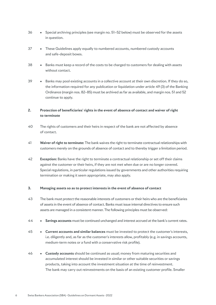- 36 Special archiving principles (see margin no. 51–52 below) must be observed for the assets in question.
- 37 These Guidelines apply equally to numbered accounts, numbered custody accounts and safe-deposit boxes.
- 38 Banks must keep a record of the costs to be charged to customers for dealing with assets without contact.
- 39 Banks may pool existing accounts in a collective account at their own discretion. If they do so, the information required for any publication or liquidation under article 49 (3) of the Banking Ordinance (margin nos. 82–85) must be archived as far as available, and margin nos. 51 and 52 continue to apply.

#### **2. Protection of beneficiaries' rights in the event of absence of contact and waiver of right to terminate**

- 40 The rights of customers and their heirs in respect of the bank are not affected by absence of contact.
- 41 **Waiver of right to terminate:** The bank waives the right to terminate contractual relationships with customers merely on the grounds of absence of contact and to thereby trigger a limitation period.
- 42 **Exception:** Banks have the right to terminate a contractual relationship or set off their claims against the customer or their heirs, if they are not met when due or are no longer covered. Special regulations, in particular regulations issued by governments and other authorities requiring termination or making it seem appropriate, may also apply.

#### **3. Managing assets so as to protect interests in the event of absence of contact**

- 43 The bank must protect the reasonable interests of customers or their heirs who are the beneficiaries of assets in the event of absence of contact. Banks must issue internal directives to ensure such assets are managed in a consistent manner. The following principles must be observed:
- 44 **Savings accounts** must be continued unchanged and interest accrued at the bank's current rates.
- 45 **Current accounts and similar balances** must be invested to protect the customer's interests, i.e. diligently and, as far as the customer's interests allow, profitably (e.g. in savings accounts, medium-term notes or a fund with a conservative risk profile).
- 46 **Custody accounts** should be continued as usual; money from maturing securities and accumulated interest should be invested in similar or other suitable securities or savings products, taking into account the investment situation at the time of reinvestment. The bank may carry out reinvestments on the basis of an existing customer profile. Smaller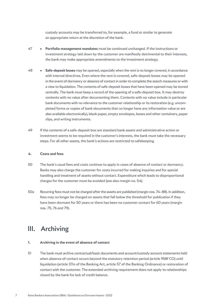custody accounts may be transferred to, for example, a fund or similar to generate an appropriate return at the discretion of the bank.

- 47 **Portfolio management mandates** must be continued unchanged. If the instructions or investment strategy laid down by the customer are manifestly detrimental to their interests, the bank may make appropriate amendments to the investment strategy.
- 48 **Safe-deposit boxes** may be opened, especially when the rent is no longer covered, in accordance with internal directives. Even where the rent is covered, safe-deposit boxes may be opened in the event of dormancy or absence of contact in order to complete the search measures or with a view to liquidation. The contents of safe-deposit boxes that have been opened may be stored centrally. The bank must keep a record of the opening of a safe-deposit box. It may destroy contents with no value after documenting them. Contents with no value include in particular bank documents with no relevance to the customer relationship or its restoration (e.g. uncompleted forms or copies of bank documents that no longer have any information value or are also available electronically), blank paper, empty envelopes, boxes and other containers, paper clips, and writing instruments.
- 49 If the contents of a safe-deposit box are standard bank assets and administrative action or investment seems to be required in the customer's interests, the bank must take the necessary steps. For all other assets, the bank's actions are restricted to safekeeping.

#### **4. Costs and fees**

- 50 The bank's usual fees and costs continue to apply in cases of absence of contact or dormancy. Banks may also charge the customer for costs incurred for making inquiries and for special handling and treatment of assets without contact. Expenditure which leads to disproportional charges for the customer must be avoided (see also margin no. 54).
- 50a Recurring fees must not be charged after the assets are published (margin nos. 74–88). In addition, fees may no longer be charged on assets that fall below the threshold for publication if they have been dormant for 50 years or there has been no customer contact for 60 years (margin nos. 75, 76 and 79).

### III. Archiving

#### **1. Archiving in the event of absence of contact**

51 The bank must archive contractual/basic documents and account/custody account statements held when absence of contact occurs beyond the statutory retention period (article 958f CO) until liquidation (article 37m of the Banking Act, article 57 of the Banking Ordinance) or restoration of contact with the customer. The extended archiving requirement does not apply to relationships closed by the bank for lack of credit balance.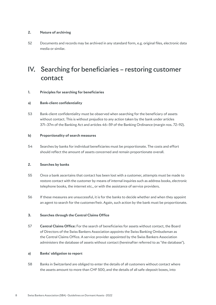#### **2. Nature of archiving**

52 Documents and records may be archived in any standard form, e.g. original files, electronic data media or similar.

## IV. Searching for beneficiaries – restoring customer contact

#### **1. Principles for searching for beneficiaries**

#### **a) Bank-client confidentiality**

53 Bank-client confidentiality must be observed when searching for the beneficiary of assets without contact. This is without prejudice to any action taken by the bank under articles 37l–37m of the Banking Act and articles 46–59 of the Banking Ordinance (margin nos. 72–92).

#### **b) Proportionality of search measures**

54 Searches by banks for individual beneficiaries must be proportionate. The costs and effort should reflect the amount of assets concerned and remain proportionate overall.

#### **2. Searches by banks**

- 55 Once a bank ascertains that contact has been lost with a customer, attempts must be made to restore contact with the customer by means of internal inquiries such as address books, electronic telephone books, the internet etc., or with the assistance of service providers.
- 56 If these measures are unsuccessful, it is for the banks to decide whether and when they appoint an agent to search for the customer/heir. Again, such action by the bank must be proportionate.

#### **3. Searches through the Central Claims Office**

57 **Central Claims Office:** For the search of beneficiaries for assets without contact, the Board of Directors of the Swiss Bankers Association appoints the Swiss Banking Ombudsman as the Central Claims Office. A service provider appointed by the Swiss Bankers Association administers the database of assets without contact (hereinafter referred to as "the database").

#### **a) Banks' obligation to report**

58 Banks in Switzerland are obliged to enter the details of all customers without contact where the assets amount to more than CHF 500, and the details of all safe-deposit boxes, into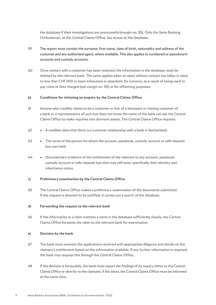the database if their investigations are unsuccessful (margin no. 55). Only the Swiss Banking Ombudsman, as the Central Claims Office, has access to the database.

- 59 The report must contain the surname, first name, date of birth, nationality and address of the customer and any authorised agent, where available. This also applies to numbered or pseudonym accounts and custody accounts.
- 60 Once contact with a customer has been restored, the information in the database must be deleted by the relevant bank. The same applies when an asset without contact has fallen in value to less than CHF 500 or been exhausted or absorbed, for instance, as a result of being used to pay costs or fees charged (see margin no. 50) or for offsetting purposes.

#### **b) Conditions for initiating an enquiry by the Central Claims Office**

- 61 Anyone who credibly claims to be a customer or heir of a deceased or missing customer of a bank or a representative of such but does not know the name of the bank can ask the Central Claims Office to make inquiries into dormant assets. The Central Claims Office requires:
- 62 A credible claim that there is a customer relationship with a bank in Switzerland;
- 63 The name of the person for whom the account, passbook, custody account or safe-deposit box was held;
- 64 Documentary evidence of the entitlement of the claimant to any account, passbook, custody account or safe-deposit box that may still exist, specifically their identity and inheritance status.

#### **c) Preliminary examination by the Central Claims Office**

65 The Central Claims Office makes a preliminary examination of the documents submitted. If the request is deemed to be justified, it carries out a search of the database.

#### **d) Forwarding the request to the relevant bank**

66 If the information in a claim matches a name in the database sufficiently closely, the Central Claims Office forwards the claim to the relevant bank for examination.

#### **e) Decision by the bank**

- 67 The bank must examine the applications received with appropriate diligence and decide on the claimant's entitlement based on the information available. If any further information is required, the bank may request this through the Central Claims Office.
- 68 If the decision is favourable, the bank must report the findings of its inquiry either to the Central Claims Office or directly to the claimant; if the latter, the Central Claims Office must be informed at the same time.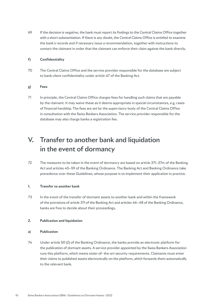69 If the decision is negative, the bank must report its findings to the Central Claims Office together with a short substantiation. If there is any doubt, the Central Claims Office is entitled to examine the bank's records and if necessary issue a recommendation, together with instructions to contact the claimant in order that the claimant can enforce their claim against the bank directly.

#### **f) Confidentiality**

70 The Central Claims Office and the service provider responsible for the database are subject to bank-client confidentiality under article 47 of the Banking Act.

#### **g) Fees**

71 In principle, the Central Claims Office charges fees for handling such claims that are payable by the claimant. It may waive these as it deems appropriate in special circumstances, e.g. cases of financial hardship. The fees are set by the supervisory body of the Central Claims Office in consultation with the Swiss Bankers Association. The service provider responsible for the database may also charge banks a registration fee.

## V. Transfer to another bank and liquidation in the event of dormancy

72 The measures to be taken in the event of dormancy are based on article 37l–37m of the Banking Act and articles 45–59 of the Banking Ordinance. The Banking Act and Banking Ordinance take precedence over these Guidelines, whose purpose is to implement their application in practice.

#### **1. Transfer to another bank**

73 In the event of the transfer of dormant assets to another bank and within the framework of the provisions of article 37l of the Banking Act and articles 46–48 of the Banking Ordinance, banks are free to decide about their proceedings.

#### **2. Publication and liquidation**

#### **a) Publication**

74 Under article 50 (2) of the Banking Ordinance, the banks provide an electronic platform for the publication of dormant assets. A service provider appointed by the Swiss Bankers Association runs this platform, which meets state-of- the-art security requirements. Claimants must enter their claims to published assets electronically on the platform, which forwards them automatically to the relevant bank.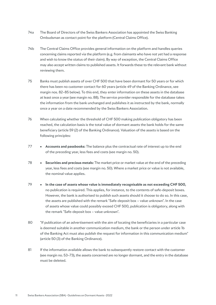- 74a The Board of Directors of the Swiss Bankers Association has appointed the Swiss Banking Ombudsman as contact point for the platform (Central Claims Office).
- 74b The Central Claims Office provides general information on the platform and handles queries concerning claims reported via the platform (e.g. from claimants who have not yet had a response and wish to know the status of their claim). By way of exception, the Central Claims Office may also accept written claims to published assets. It forwards these to the relevant bank without reviewing them.
- 75 Banks must publish assets of over CHF 500 that have been dormant for 50 years or for which there has been no customer contact for 60 years (article 49 of the Banking Ordinance, see margin nos. 82–85 below). To this end, they enter information on these assets in the database at least once a year (see margin no. 88). The service provider responsible for the database takes the information from the bank unchanged and publishes it as instructed by the bank, normally once a year on a date recommended by the Swiss Bankers Association.
- 76 When calculating whether the threshold of CHF 500 making publication obligatory has been reached, the calculation basis is the total value of dormant assets the bank holds for the same beneficiary (article 59 (2) of the Banking Ordinance). Valuation of the assets is based on the following principles:
- 77 **Accounts and passbooks:** The balance plus the contractual rate of interest up to the end of the preceding year, less fees and costs (see margin no. 50).
- 78 **Securities and precious metals:** The market price or market value at the end of the preceding year, less fees and costs (see margin no. 50). Where a market price or value is not available, the nominal value applies.
- 79 **In the case of assets whose value is immediately recognisable as not exceeding CHF 500,** no publication is required. This applies, for instance, to the contents of safe-deposit boxes. However, the bank is authorised to publish such assets should it choose to do so. In this case, the assets are published with the remark "Safe-deposit box – value unknown". In the case of assets whose value could possibly exceed CHF 500, publication is obligatory, along with the remark "Safe-deposit box – value unknown".
- 80 "If publication of an advertisement with the aim of locating the beneficiaries in a particular case is deemed suitable in another communication medium, the bank or the person under article 1b of the Banking Act must also publish the request for information in this communication medium" (article 50 (3) of the Banking Ordinance).
- 81 If the information available allows the bank to subsequently restore contact with the customer (see margin no. 53–73), the assets concerned are no longer dormant, and the entry in the database must be deleted.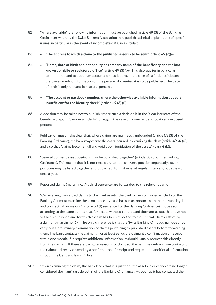- 82 "Where available", the following information must be published (article 49 (3) of the Banking Ordinance), whereby the Swiss Bankers Association may publish technical explanations of specific issues, in particular in the event of incomplete data, in a circular:
- 83 **"The address to which a claim to the published asset is to be sent"** (article 49 (3)(a)).
- 84 **"Name, date of birth and nationality or company name of the beneficiary and the last known domicile or registered office**" (article 49 (3) (b)). This also applies in particular to numbered and pseudonym accounts or passbooks. In the case of safe-deposit boxes, the corresponding information on the person who rented it is to be published. The date of birth is only relevant for natural persons.
- 85 **"The account or passbook number, where the otherwise available information appears insufficient for the identity check"** (article 49 (3) (c)).
- 86 A decision may be taken not to publish, where such a decision is in the "clear interests of the beneficiary" (point 3 under article 49 (3)) e.g. in the case of prominent and politically exposed persons.
- 87 Publication must make clear that, where claims are manifestly unfounded (article 53 (3) of the Banking Ordinance), the bank may charge the costs incurred in examining the claim (article 49 (4) (a)), and also that "claims become null and void upon liquidation of the assets" (para  $4$  (b)).
- 88 "Several dormant asset positions may be published together" (article 50 (5) of the Banking Ordinance). This means that it is not necessary to publish every position separately; several positions may be listed together and published, for instance, at regular intervals, but at least once a year.
- 89 Reported claims (margin no. 74, third sentence) are forwarded to the relevant bank.
- 90 "On receiving forwarded claims to dormant assets, the bank or person under article 1b of the Banking Act must examine these on a case-by-case basis in accordance with the relevant legal and contractual provisions" (article 53 (1) sentence 1 of the Banking Ordinance). It does so according to the same standard as for assets without contact and dormant assets that have not yet been published and for which a claim has been reported to the Central Claims Office by a claimant (margin no. 67). The only difference is that the Swiss Banking Ombudsman does not carry out a preliminary examination of claims pertaining to published assets before forwarding them. The bank contacts the claimant – or at least sends the claimant a confirmation of receipt – within one month. If it requires additional information, it should usually request this directly from the claimant. If there are particular reasons for doing so, the bank may refrain from contacting the claimant directly or sending a confirmation of receipt and request the additional information through the Central Claims Office.
- 90a "If, on examining the claim, the bank finds that it is justified, the assets in question are no longer considered dormant" (article 53 (2) of the Banking Ordinance). As soon as it has contacted the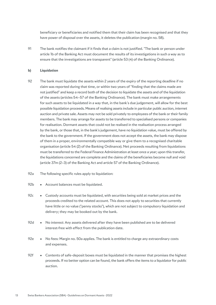beneficiary or beneficiaries and notified them that their claim has been recognised and that they have power of disposal over the assets, it deletes the publication (margin no. 58).

91 The bank notifies the claimant if it finds that a claim is not justified. "The bank or person under article 1b of the Banking Act must document the results of its investigations in such a way as to ensure that the investigations are transparent" (article 53 (4) of the Banking Ordinance).

#### **b) Liquidation**

- 92 The bank must liquidate the assets within 2 years of the expiry of the reporting deadline if no claim was reported during that time, or within two years of "finding that the claims made are not justified" and keep a record both of the decision to liquidate the assets and of the liquidation of the assets (articles 54–57 of the Banking Ordinance). The bank must make arrangements for such assets to be liquidated in a way that, in the bank's due judgement, will allow for the best possible liquidation proceeds. Means of realising assets include in particular public auction, internet auction and private sale. Assets may not be sold privately to employees of the bank or their family members. The bank may arrange for assets to be transferred to specialised persons or companies for realisation. Dormant assets that could not be realised in the realisation process arranged by the bank, or those that, in the bank's judgement, have no liquidation value, must be offered by the bank to the government. If the government does not accept the assets, the bank may dispose of them in a proper, environmentally compatible way or give them to a recognised charitable organisation (article 54 (2) of the Banking Ordinance). Net proceeds resulting from liquidations must be transferred to the Federal Finance Administration at least once a year; upon this transfer, the liquidations concerned are complete and the claims of the beneficiaries become null and void (article 37m (2–3) of the Banking Act and article 57 of the Banking Ordinance).
- 92a The following specific rules apply to liquidation:
- 92b Account balances must be liquidated.
- 92c Custody accounts must be liquidated, with securities being sold at market prices and the proceeds credited to the related account. This does not apply to securities that currently have little or no value ("penny stocks"), which are not subject to compulsory liquidation and delivery; they may be booked out by the bank.
- 92d No interest: Any assets delivered after they have been published are to be delivered interest-free with effect from the publication date.
- 92e No fees: Margin no. 50a applies. The bank is entitled to charge any extraordinary costs and expenses.
- 92f Contents of safe-deposit boxes must be liquidated in the manner that promises the highest proceeds. If no better option can be found, the bank offers the items to a liquidator for public auction.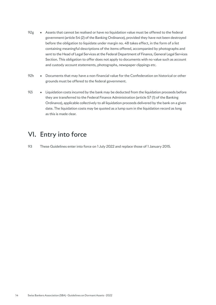- 92g  $\bullet$  Assets that cannot be realised or have no liquidation value must be offered to the federal government (article 54 (2) of the Banking Ordinance), provided they have not been destroyed before the obligation to liquidate under margin no. 48 takes effect, in the form of a list containing meaningful descriptions of the items offered, accompanied by photographs and sent to the Head of Legal Services at the Federal Department of Finance, General Legal Services Section. This obligation to offer does not apply to documents with no value such as account and custody account statements, photographs, newspaper clippings etc.
- 92h Documents that may have a non-financial value for the Confederation on historical or other grounds must be offered to the federal government.
- 92i Liquidation costs incurred by the bank may be deducted from the liquidation proceeds before they are transferred to the Federal Finance Administration (article 57 (1) of the Banking Ordinance), applicable collectively to all liquidation proceeds delivered by the bank on a given date. The liquidation costs may be quoted as a lump sum in the liquidation record as long as this is made clear.

### VI. Entry into force

93 These Guidelines enter into force on 1 July 2022 and replace those of 1 January 2015.